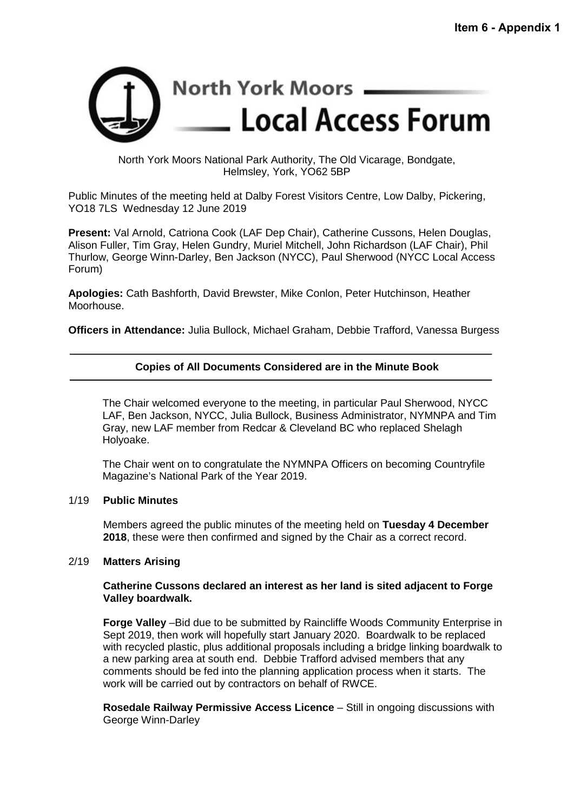

North York Moors National Park Authority, The Old Vicarage, Bondgate, Helmsley, York, YO62 5BP

Public Minutes of the meeting held at Dalby Forest Visitors Centre, Low Dalby, Pickering, YO18 7LS Wednesday 12 June 2019

**Present:** Val Arnold, Catriona Cook (LAF Dep Chair), Catherine Cussons, Helen Douglas, Alison Fuller, Tim Gray, Helen Gundry, Muriel Mitchell, John Richardson (LAF Chair), Phil Thurlow, George Winn-Darley, Ben Jackson (NYCC), Paul Sherwood (NYCC Local Access Forum)

**Apologies:** Cath Bashforth, David Brewster, Mike Conlon, Peter Hutchinson, Heather Moorhouse.

**Officers in Attendance:** Julia Bullock, Michael Graham, Debbie Trafford, Vanessa Burgess

# **Copies of All Documents Considered are in the Minute Book**

The Chair welcomed everyone to the meeting, in particular Paul Sherwood, NYCC LAF, Ben Jackson, NYCC, Julia Bullock, Business Administrator, NYMNPA and Tim Gray, new LAF member from Redcar & Cleveland BC who replaced Shelagh Holyoake.

The Chair went on to congratulate the NYMNPA Officers on becoming Countryfile Magazine's National Park of the Year 2019.

#### 1/19 **Public Minutes**

Members agreed the public minutes of the meeting held on **Tuesday 4 December 2018**, these were then confirmed and signed by the Chair as a correct record.

#### 2/19 **Matters Arising**

#### **Catherine Cussons declared an interest as her land is sited adjacent to Forge Valley boardwalk.**

**Forge Valley** –Bid due to be submitted by Raincliffe Woods Community Enterprise in Sept 2019, then work will hopefully start January 2020. Boardwalk to be replaced with recycled plastic, plus additional proposals including a bridge linking boardwalk to a new parking area at south end. Debbie Trafford advised members that any comments should be fed into the planning application process when it starts. The work will be carried out by contractors on behalf of RWCE.

**Rosedale Railway Permissive Access Licence** – Still in ongoing discussions with George Winn-Darley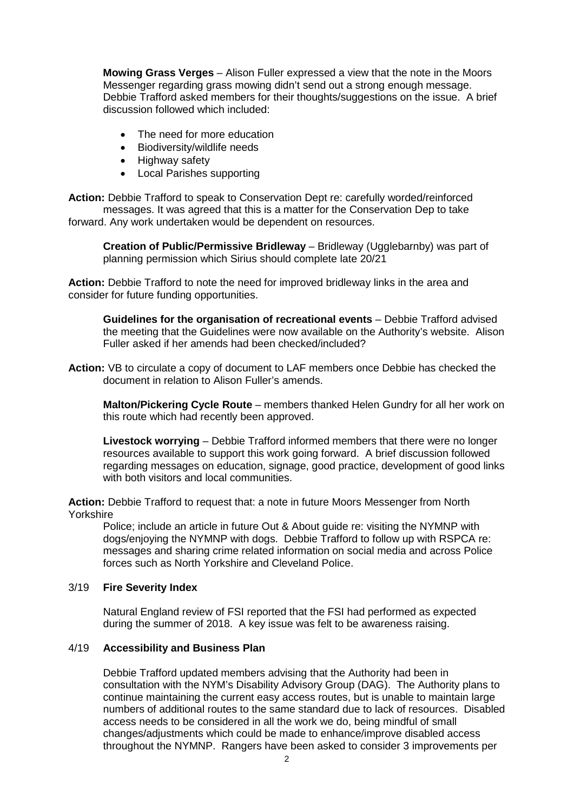**Mowing Grass Verges** – Alison Fuller expressed a view that the note in the Moors Messenger regarding grass mowing didn't send out a strong enough message. Debbie Trafford asked members for their thoughts/suggestions on the issue. A brief discussion followed which included:

- The need for more education
- Biodiversity/wildlife needs
- Highway safety
- Local Parishes supporting

**Action:** Debbie Trafford to speak to Conservation Dept re: carefully worded/reinforced messages. It was agreed that this is a matter for the Conservation Dep to take forward. Any work undertaken would be dependent on resources.

**Creation of Public/Permissive Bridleway** – Bridleway (Ugglebarnby) was part of planning permission which Sirius should complete late 20/21

**Action:** Debbie Trafford to note the need for improved bridleway links in the area and consider for future funding opportunities.

**Guidelines for the organisation of recreational events** – Debbie Trafford advised the meeting that the Guidelines were now available on the Authority's website. Alison Fuller asked if her amends had been checked/included?

**Action:** VB to circulate a copy of document to LAF members once Debbie has checked the document in relation to Alison Fuller's amends.

**Malton/Pickering Cycle Route** – members thanked Helen Gundry for all her work on this route which had recently been approved.

**Livestock worrying** – Debbie Trafford informed members that there were no longer resources available to support this work going forward. A brief discussion followed regarding messages on education, signage, good practice, development of good links with both visitors and local communities.

**Action:** Debbie Trafford to request that: a note in future Moors Messenger from North Yorkshire

Police; include an article in future Out & About guide re: visiting the NYMNP with dogs/enjoying the NYMNP with dogs. Debbie Trafford to follow up with RSPCA re: messages and sharing crime related information on social media and across Police forces such as North Yorkshire and Cleveland Police.

# 3/19 **Fire Severity Index**

Natural England review of FSI reported that the FSI had performed as expected during the summer of 2018. A key issue was felt to be awareness raising.

# 4/19 **Accessibility and Business Plan**

Debbie Trafford updated members advising that the Authority had been in consultation with the NYM's Disability Advisory Group (DAG). The Authority plans to continue maintaining the current easy access routes, but is unable to maintain large numbers of additional routes to the same standard due to lack of resources. Disabled access needs to be considered in all the work we do, being mindful of small changes/adjustments which could be made to enhance/improve disabled access throughout the NYMNP. Rangers have been asked to consider 3 improvements per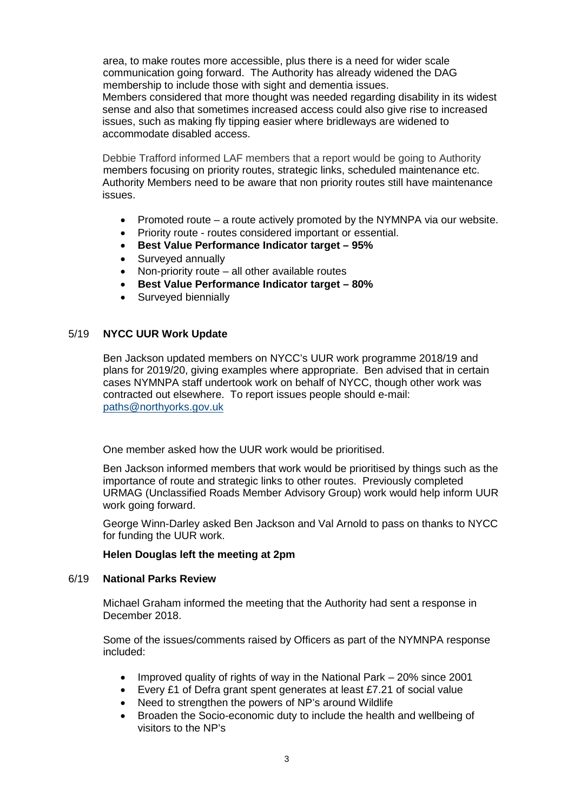area, to make routes more accessible, plus there is a need for wider scale communication going forward. The Authority has already widened the DAG membership to include those with sight and dementia issues. Members considered that more thought was needed regarding disability in its widest sense and also that sometimes increased access could also give rise to increased issues, such as making fly tipping easier where bridleways are widened to

Debbie Trafford informed LAF members that a report would be going to Authority members focusing on priority routes, strategic links, scheduled maintenance etc. Authority Members need to be aware that non priority routes still have maintenance issues.

- Promoted route a route actively promoted by the NYMNPA via our website.
- Priority route routes considered important or essential.
- **Best Value Performance Indicator target – 95%**
- Surveyed annually

accommodate disabled access.

- Non-priority route all other available routes
- **Best Value Performance Indicator target – 80%**
- Surveyed biennially

## 5/19 **NYCC UUR Work Update**

Ben Jackson updated members on NYCC's UUR work programme 2018/19 and plans for 2019/20, giving examples where appropriate. Ben advised that in certain cases NYMNPA staff undertook work on behalf of NYCC, though other work was contracted out elsewhere. To report issues people should e-mail: [paths@northyorks.gov.uk](mailto:paths@northyorks.gov.uk)

One member asked how the UUR work would be prioritised.

Ben Jackson informed members that work would be prioritised by things such as the importance of route and strategic links to other routes. Previously completed URMAG (Unclassified Roads Member Advisory Group) work would help inform UUR work going forward.

George Winn-Darley asked Ben Jackson and Val Arnold to pass on thanks to NYCC for funding the UUR work.

#### **Helen Douglas left the meeting at 2pm**

#### 6/19 **National Parks Review**

Michael Graham informed the meeting that the Authority had sent a response in December 2018.

Some of the issues/comments raised by Officers as part of the NYMNPA response included:

- Improved quality of rights of way in the National Park 20% since 2001
- Every £1 of Defra grant spent generates at least £7.21 of social value
- Need to strengthen the powers of NP's around Wildlife
- Broaden the Socio-economic duty to include the health and wellbeing of visitors to the NP's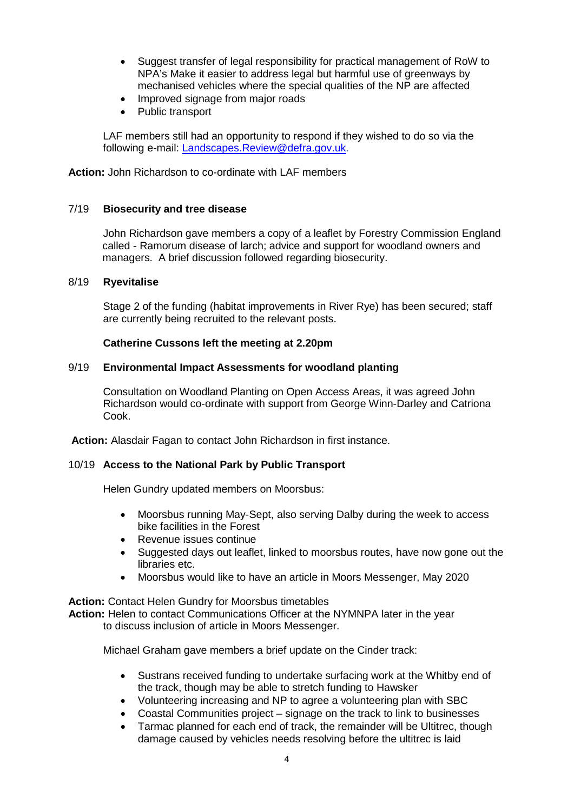- Suggest transfer of legal responsibility for practical management of RoW to NPA's Make it easier to address legal but harmful use of greenways by mechanised vehicles where the special qualities of the NP are affected
- Improved signage from major roads
- Public transport

LAF members still had an opportunity to respond if they wished to do so via the following e-mail: [Landscapes.Review@defra.gov.uk.](mailto:Landscapes.Review@defra.gov.uk)

**Action:** John Richardson to co-ordinate with LAF members

## 7/19 **Biosecurity and tree disease**

John Richardson gave members a copy of a leaflet by Forestry Commission England called - Ramorum disease of larch; advice and support for woodland owners and managers. A brief discussion followed regarding biosecurity.

## 8/19 **Ryevitalise**

Stage 2 of the funding (habitat improvements in River Rye) has been secured; staff are currently being recruited to the relevant posts.

## **Catherine Cussons left the meeting at 2.20pm**

## 9/19 **Environmental Impact Assessments for woodland planting**

Consultation on Woodland Planting on Open Access Areas, it was agreed John Richardson would co-ordinate with support from George Winn-Darley and Catriona Cook.

**Action:** Alasdair Fagan to contact John Richardson in first instance.

#### 10/19 **Access to the National Park by Public Transport**

Helen Gundry updated members on Moorsbus:

- Moorsbus running May-Sept, also serving Dalby during the week to access bike facilities in the Forest
- Revenue issues continue
- Suggested days out leaflet, linked to moorsbus routes, have now gone out the libraries etc.
- Moorsbus would like to have an article in Moors Messenger, May 2020

**Action:** Contact Helen Gundry for Moorsbus timetables **Action:** Helen to contact Communications Officer at the NYMNPA later in the year to discuss inclusion of article in Moors Messenger.

Michael Graham gave members a brief update on the Cinder track:

- Sustrans received funding to undertake surfacing work at the Whitby end of the track, though may be able to stretch funding to Hawsker
- Volunteering increasing and NP to agree a volunteering plan with SBC
- Coastal Communities project signage on the track to link to businesses
- Tarmac planned for each end of track, the remainder will be Ultitrec, though damage caused by vehicles needs resolving before the ultitrec is laid